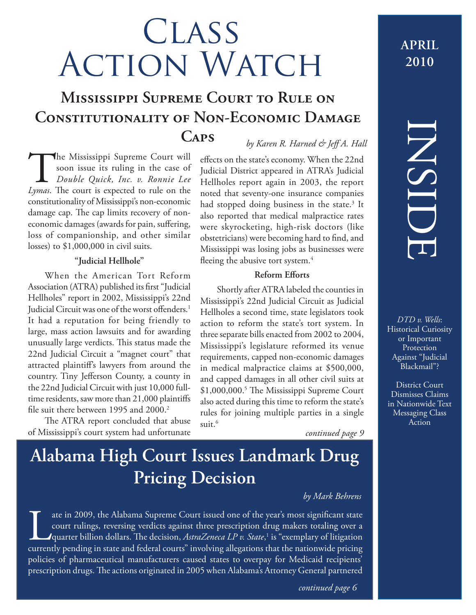# **CLASS** ACTION WATCH

## **Mississippi Supreme Court to Rule on Constitutionality of Non-Economic Damage Caps** *by Karen R. Harned & Jeff A. Hall*

The Mississippi Supreme Court will<br>soon issue its ruling in the case of<br>Double Quick, Inc. v. Ronnie Lee<br>Iymas. The court is expected to rule on the soon issue its ruling in the case of *Double Quick, Inc. v. Ronnie Lee Lymas*. The court is expected to rule on the constitutionality of Mississippi's non-economic damage cap. The cap limits recovery of noneconomic damages (awards for pain, suffering, loss of companionship, and other similar losses) to \$1,000,000 in civil suits.

### **"Judicial Hellhole"**

When the American Tort Reform Association (ATRA) published its first "Judicial Hellholes" report in 2002, Mississippi's 22nd Judicial Circuit was one of the worst offenders.<sup>1</sup> It had a reputation for being friendly to large, mass action lawsuits and for awarding unusually large verdicts. This status made the 22nd Judicial Circuit a "magnet court" that attracted plaintiff's lawyers from around the country. Tiny Jefferson County, a county in the 22nd Judicial Circuit with just 10,000 fulltime residents, saw more than 21,000 plaintiffs file suit there between 1995 and  $2000.<sup>2</sup>$ 

The ATRA report concluded that abuse of Mississippi's court system had unfortunate

effects on the state's economy. When the 22nd Judicial District appeared in ATRA's Judicial Hellholes report again in 2003, the report noted that seventy-one insurance companies had stopped doing business in the state.<sup>3</sup> It also reported that medical malpractice rates were skyrocketing, high-risk doctors (like obstetricians) were becoming hard to find, and Mississippi was losing jobs as businesses were fleeing the abusive tort system.<sup>4</sup>

### **Reform Efforts**

Shortly after ATRA labeled the counties in Mississippi's 22nd Judicial Circuit as Judicial Hellholes a second time, state legislators took action to reform the state's tort system. In three separate bills enacted from 2002 to 2004, Mississippi's legislature reformed its venue requirements, capped non-economic damages in medical malpractice claims at \$500,000, and capped damages in all other civil suits at \$1,000,000.<sup>5</sup> The Mississippi Supreme Court also acted during this time to reform the state's rules for joining multiple parties in a single suit.<sup>6</sup>

*continued page 9*

# **Alabama High Court Issues Landmark Drug Pricing Decision**

### *by Mark Behrens*

ate in 2009, the Alabama Supreme Court issued one of the year's most significant state<br>court rulings, reversing verdicts against three prescription drug makers totaling over a<br>quarter billion dollars. The decision, *Astra* court rulings, reversing verdicts against three prescription drug makers totaling over a 'quarter billion dollars. The decision, *AstraZeneca LP v. State*,<sup>1</sup> is "exemplary of litigation currently pending in state and federal courts" involving allegations that the nationwide pricing policies of pharmaceutical manufacturers caused states to overpay for Medicaid recipients' prescription drugs. The actions originated in 2005 when Alabama's Attorney General partnered

### **APRIL 2010**

# INSIDE

*DTD v. Wells*: Historical Curiosity or Important **Protection** Against "Judicial Blackmail"?

District Court Dismisses Claims in Nationwide Text Messaging Class Action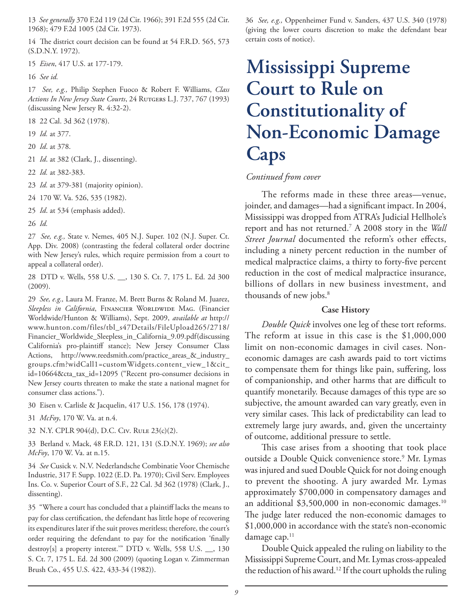13 *See generally* 370 F.2d 119 (2d Cir. 1966); 391 F.2d 555 (2d Cir. 1968); 479 F.2d 1005 (2d Cir. 1973).

14 The district court decision can be found at 54 F.R.D. 565, 573 (S.D.N.Y. 1972).

15 *Eisen*, 417 U.S. at 177-179.

16 *See id.*

17 *See, e.g.,* Philip Stephen Fuoco & Robert F. Williams, *Class*  Actions In New Jersey State Courts, 24 RUTGERS L.J. 737, 767 (1993) (discussing New Jersey R. 4:32-2).

18 22 Cal. 3d 362 (1978).

19 *Id.* at 377.

20 *Id*. at 378.

21 *Id*. at 382 (Clark, J., dissenting).

22 *Id.* at 382-383.

23 *Id.* at 379-381 (majority opinion).

24 170 W. Va. 526, 535 (1982).

25 *Id*. at 534 (emphasis added).

26 *Id.*

27 *See, e.g.,* State v. Nemes, 405 N.J. Super. 102 (N.J. Super. Ct. App. Div. 2008) (contrasting the federal collateral order doctrine with New Jersey's rules, which require permission from a court to appeal a collateral order).

28 DTD v. Wells, 558 U.S. \_\_, 130 S. Ct. 7, 175 L. Ed. 2d 300 (2009).

29 *See, e.g.,* Laura M. Franze, M. Brett Burns & Roland M. Juarez, Sleepless in California, FINANCIER WORLDWIDE MAG. (Financier Worldwide/Hunton & Williams), Sept. 2009, *available at* http:// www.hunton.com/files/tbl\_s47Details/FileUpload265/2718/ Financier\_Worldwide\_Sleepless\_in\_California\_9.09.pdf (discussing California's pro-plaintiff stance); New Jersey Consumer Class Actions, http://www.reedsmith.com/practice\_areas\_&\_industry\_ groups.cfm?widCall1=customWidgets.content\_view\_1&cit\_ id=10664&cta\_tax\_id=12095 ("Recent pro-consumer decisions in New Jersey courts threaten to make the state a national magnet for consumer class actions.").

30 Eisen v. Carlisle & Jacquelin, 417 U.S. 156, 178 (1974).

31 *McFoy*, 170 W. Va. at n.4.

32 N.Y. CPLR 904(d), D.C. Civ. Rule 23(c)(2).

33 Berland v. Mack, 48 F.R.D. 121, 131 (S.D.N.Y. 1969); *see also McFoy*, 170 W. Va. at n.15.

34 *See* Cusick v. N.V. Nederlandsche Combinatie Voor Chemische Industrie, 317 F. Supp. 1022 (E.D. Pa. 1970); Civil Serv. Employees Ins. Co. v. Superior Court of S.F., 22 Cal. 3d 362 (1978) (Clark, J., dissenting).

35 "Where a court has concluded that a plaintiff lacks the means to pay for class certification, the defendant has little hope of recovering its expenditures later if the suit proves meritless; therefore, the court's order requiring the defendant to pay for the notification 'finally destroy[s] a property interest.'" DTD v. Wells, 558 U.S. \_\_, 130 S. Ct. 7, 175 L. Ed. 2d 300 (2009) (quoting Logan v. Zimmerman Brush Co., 455 U.S. 422, 433-34 (1982)).

36 *See, e.g.,* Oppenheimer Fund v. Sanders, 437 U.S. 340 (1978) (giving the lower courts discretion to make the defendant bear certain costs of notice).

# **Mississippi Supreme Court to Rule on Constitutionality of Non-Economic Damage Caps**

### *Continued from cover*

The reforms made in these three areas—venue, joinder, and damages—had a significant impact. In 2004, Mississippi was dropped from ATRA's Judicial Hellhole's report and has not returned.7 A 2008 story in the *Wall Street Journal* documented the reform's other effects, including a ninety percent reduction in the number of medical malpractice claims, a thirty to forty-five percent reduction in the cost of medical malpractice insurance, billions of dollars in new business investment, and thousands of new jobs.<sup>8</sup>

### **Case History**

*Double Quick* involves one leg of these tort reforms. The reform at issue in this case is the \$1,000,000 limit on non-economic damages in civil cases. Noneconomic damages are cash awards paid to tort victims to compensate them for things like pain, suffering, loss of companionship, and other harms that are difficult to quantify monetarily. Because damages of this type are so subjective, the amount awarded can vary greatly, even in very similar cases. This lack of predictability can lead to extremely large jury awards, and, given the uncertainty of outcome, additional pressure to settle.

This case arises from a shooting that took place outside a Double Quick convenience store.<sup>9</sup> Mr. Lymas was injured and sued Double Quick for not doing enough to prevent the shooting. A jury awarded Mr. Lymas approximately \$700,000 in compensatory damages and an additional \$3,500,000 in non-economic damages.<sup>10</sup> The judge later reduced the non-economic damages to \$1,000,000 in accordance with the state's non-economic damage cap. $11$ 

Double Quick appealed the ruling on liability to the Mississippi Supreme Court, and Mr. Lymas cross-appealed the reduction of his award.<sup>12</sup> If the court upholds the ruling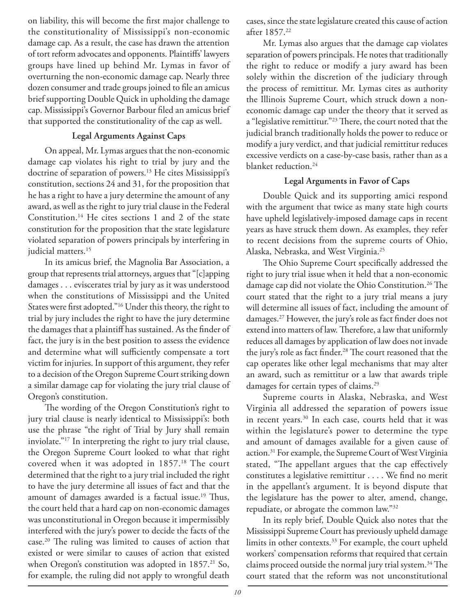on liability, this will become the first major challenge to the constitutionality of Mississippi's non-economic damage cap. As a result, the case has drawn the attention of tort reform advocates and opponents. Plaintiffs' lawyers groups have lined up behind Mr. Lymas in favor of overturning the non-economic damage cap. Nearly three dozen consumer and trade groups joined to file an amicus brief supporting Double Quick in upholding the damage cap. Mississippi's Governor Barbour filed an amicus brief that supported the constitutionality of the cap as well.

### **Legal Arguments Against Caps**

On appeal, Mr. Lymas argues that the non-economic damage cap violates his right to trial by jury and the doctrine of separation of powers.<sup>13</sup> He cites Mississippi's constitution, sections 24 and 31, for the proposition that he has a right to have a jury determine the amount of any award, as well as the right to jury trial clause in the Federal Constitution.14 He cites sections 1 and 2 of the state constitution for the proposition that the state legislature violated separation of powers principals by interfering in judicial matters.<sup>15</sup>

In its amicus brief, the Magnolia Bar Association, a group that represents trial attorneys, argues that "[c]apping damages . . . eviscerates trial by jury as it was understood when the constitutions of Mississippi and the United States were first adopted."<sup>16</sup> Under this theory, the right to trial by jury includes the right to have the jury determine the damages that a plaintiff has sustained. As the finder of fact, the jury is in the best position to assess the evidence and determine what will sufficiently compensate a tort victim for injuries. In support of this argument, they refer to a decision of the Oregon Supreme Court striking down a similar damage cap for violating the jury trial clause of Oregon's constitution.

The wording of the Oregon Constitution's right to jury trial clause is nearly identical to Mississippi's: both use the phrase "the right of Trial by Jury shall remain inviolate."17 In interpreting the right to jury trial clause, the Oregon Supreme Court looked to what that right covered when it was adopted in 1857.<sup>18</sup> The court determined that the right to a jury trial included the right to have the jury determine all issues of fact and that the amount of damages awarded is a factual issue.<sup>19</sup> Thus, the court held that a hard cap on non-economic damages was unconstitutional in Oregon because it impermissibly interfered with the jury's power to decide the facts of the case.<sup>20</sup> The ruling was limited to causes of action that existed or were similar to causes of action that existed when Oregon's constitution was adopted in  $1857<sup>21</sup>$  So, for example, the ruling did not apply to wrongful death

cases, since the state legislature created this cause of action after 1857.22

Mr. Lymas also argues that the damage cap violates separation of powers principals. He notes that traditionally the right to reduce or modify a jury award has been solely within the discretion of the judiciary through the process of remittitur. Mr. Lymas cites as authority the Illinois Supreme Court, which struck down a noneconomic damage cap under the theory that it served as a "legislative remittitur."<sup>23</sup> There, the court noted that the judicial branch traditionally holds the power to reduce or modify a jury verdict, and that judicial remittitur reduces excessive verdicts on a case-by-case basis, rather than as a blanket reduction.24

### **Legal Arguments in Favor of Caps**

Double Quick and its supporting amici respond with the argument that twice as many state high courts have upheld legislatively-imposed damage caps in recent years as have struck them down. As examples, they refer to recent decisions from the supreme courts of Ohio, Alaska, Nebraska, and West Virginia.25

The Ohio Supreme Court specifically addressed the right to jury trial issue when it held that a non-economic damage cap did not violate the Ohio Constitution.<sup>26</sup> The court stated that the right to a jury trial means a jury will determine all issues of fact, including the amount of damages.<sup>27</sup> However, the jury's role as fact finder does not extend into matters of law. Therefore, a law that uniformly reduces all damages by application of law does not invade the jury's role as fact finder.<sup>28</sup> The court reasoned that the cap operates like other legal mechanisms that may alter an award, such as remittitur or a law that awards triple damages for certain types of claims.<sup>29</sup>

Supreme courts in Alaska, Nebraska, and West Virginia all addressed the separation of powers issue in recent years.<sup>30</sup> In each case, courts held that it was within the legislature's power to determine the type and amount of damages available for a given cause of action.31 For example, the Supreme Court of West Virginia stated, "The appellant argues that the cap effectively constitutes a legislative remittitur . . . . We find no merit in the appellant's argument. It is beyond dispute that the legislature has the power to alter, amend, change, repudiate, or abrogate the common law."32

In its reply brief, Double Quick also notes that the Mississippi Supreme Court has previously upheld damage limits in other contexts.33 For example, the court upheld workers' compensation reforms that required that certain claims proceed outside the normal jury trial system.<sup>34</sup> The court stated that the reform was not unconstitutional